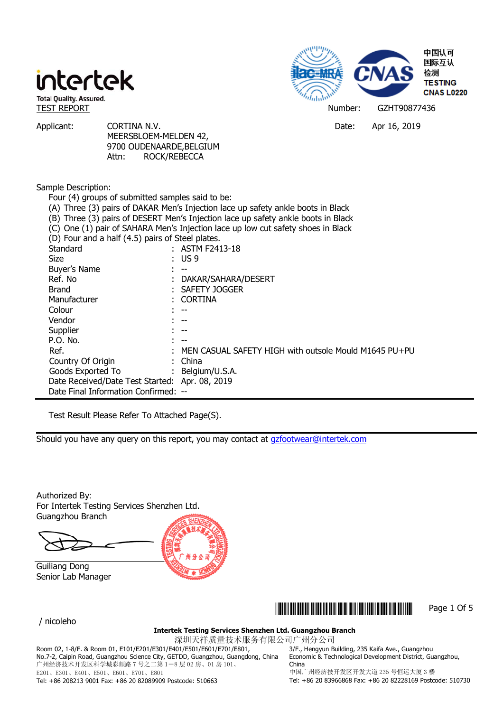

Applicant: CORTINA N.V. CORTINA N.V. CORTINA N.V. CORTINA N.V. MEERSBLOEM-MELDEN 42, 9700 OUDENAARDE,BELGIUM Attn: ROCK/REBECCA

### Sample Description:

| Four (4) groups of submitted samples said to be:                                  |                                                         |  |  |
|-----------------------------------------------------------------------------------|---------------------------------------------------------|--|--|
| (A) Three (3) pairs of DAKAR Men's Injection lace up safety ankle boots in Black  |                                                         |  |  |
| (B) Three (3) pairs of DESERT Men's Injection lace up safety ankle boots in Black |                                                         |  |  |
| (C) One (1) pair of SAHARA Men's Injection lace up low cut safety shoes in Black  |                                                         |  |  |
| (D) Four and a half (4.5) pairs of Steel plates.                                  |                                                         |  |  |
| Standard                                                                          | $:$ ASTM F2413-18                                       |  |  |
| <b>Size</b>                                                                       | $\therefore$ US9                                        |  |  |
| Buyer's Name                                                                      | $\mathcal{L} = -1$                                      |  |  |
| Ref. No                                                                           | : DAKAR/SAHARA/DESERT                                   |  |  |
| <b>Brand</b>                                                                      | : SAFETY JOGGER                                         |  |  |
| Manufacturer                                                                      | : CORTINA                                               |  |  |
| Colour                                                                            | $-$                                                     |  |  |
| Vendor                                                                            | $-$                                                     |  |  |
| Supplier                                                                          |                                                         |  |  |
| P.O. No.                                                                          |                                                         |  |  |
| Ref.                                                                              | : MEN CASUAL SAFETY HIGH with outsole Mould M1645 PU+PU |  |  |
| Country Of Origin                                                                 | : China                                                 |  |  |
| Goods Exported To : Belgium/U.S.A.                                                |                                                         |  |  |
| Date Received/Date Test Started: Apr. 08, 2019                                    |                                                         |  |  |
| Date Final Information Confirmed: --                                              |                                                         |  |  |

Test Result Please Refer To Attached Page(S).

Should you have any query on this report, you may contact at gzfootwear@intertek.com

Authorized By: For Intertek Testing Services Shenzhen Ltd. Guangzhou Branch

Guiliang Dong Senior Lab Manager



/ nicoleho



**Intertek Testing Services Shenzhen Ltd. Guangzhou Branch** 

深圳天祥质量技术服务有限公司广州分公司 Room 02, 1-8/F. & Room 01, E101/E201/E301/E401/E501/E601/E701/E801, No.7-2, Caipin Road, Guangzhou Science City, GETDD, Guangzhou, Guangdong, China 广州经济技术开发区科学城彩频路 7 号之二第 1-8 层 02 房、01 房 101、 E201、E301、E401、E501、E601、E701、E801

3/F., Hengyun Building, 235 Kaifa Ave., Guangzhou Economic & Technological Development District, Guangzhou, China

Tel: +86 208213 9001 Fax: +86 20 82089909 Postcode: 510663

中国广州经济技开发区开发大道 235 号恒运大厦 3 楼 Tel: +86 20 83966868 Fax: +86 20 82228169 Postcode: 510730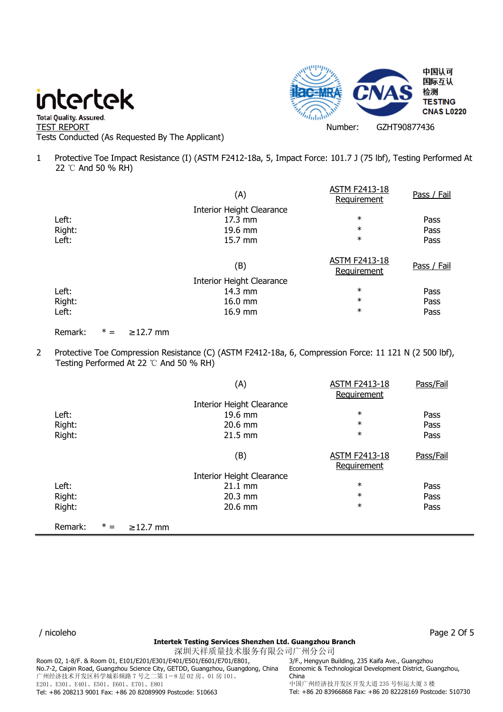

" Total Quality. Assured.<br>TEST REPORT Number: GZHT90877436 Tests Conducted (As Requested By The Applicant)

1 Protective Toe Impact Resistance (I) (ASTM F2412-18a, 5, Impact Force: 101.7 J (75 lbf), Testing Performed At 22 ℃ And 50 % RH)

|        | (A)                              | <b>ASTM F2413-18</b><br>Requirement | Pass / Fail |
|--------|----------------------------------|-------------------------------------|-------------|
|        | <b>Interior Height Clearance</b> |                                     |             |
| Left:  | 17.3 mm                          | $\ast$                              | Pass        |
| Right: | 19.6 mm                          | $\ast$                              | Pass        |
| Left:  | 15.7 mm                          | $\ast$                              | Pass        |
|        | (B)                              | <b>ASTM F2413-18</b><br>Requirement | Pass / Fail |
|        | Interior Height Clearance        |                                     |             |
| Left:  | $14.3 \text{ mm}$                | $\ast$                              | Pass        |
| Right: | 16.0 mm                          | $\ast$                              | Pass        |
| Left:  | 16.9 mm                          | $\ast$                              | Pass        |

Remark:  $* = 212.7$  mm

2 Protective Toe Compression Resistance (C) (ASTM F2412-18a, 6, Compression Force: 11 121 N (2 500 lbf), Testing Performed At 22 ℃ And 50 % RH)

|         |       |                | (A)                              | <b>ASTM F2413-18</b> | Pass/Fail |
|---------|-------|----------------|----------------------------------|----------------------|-----------|
|         |       |                |                                  | Requirement          |           |
|         |       |                | <b>Interior Height Clearance</b> |                      |           |
| Left:   |       |                | 19.6 mm                          | $\ast$               | Pass      |
| Right:  |       |                | $20.6$ mm                        | $\ast$               | Pass      |
| Right:  |       |                | $21.5 \text{ mm}$                | $\ast$               | Pass      |
|         |       |                |                                  |                      |           |
|         |       |                | (B)                              | <b>ASTM F2413-18</b> | Pass/Fail |
|         |       |                |                                  | Requirement          |           |
|         |       |                | <b>Interior Height Clearance</b> |                      |           |
| Left:   |       |                | $21.1 \text{ mm}$                | $\ast$               | Pass      |
| Right:  |       |                | $20.3$ mm                        | $\ast$               | Pass      |
| Right:  |       |                | $20.6$ mm                        | $\ast$               | Pass      |
|         |       |                |                                  |                      |           |
| Remark: | $* =$ | $\geq$ 12.7 mm |                                  |                      |           |

#### **Intertek Testing Services Shenzhen Ltd. Guangzhou Branch**

深圳天祥质量技术服务有限公司广州分公司 Room 02, 1-8/F. & Room 01, E101/E201/E301/E401/E501/E601/E701/E801, No.7-2, Caipin Road, Guangzhou Science City, GETDD, Guangzhou, Guangdong, China 广州经济技术开发区科学城彩频路 7 号之二第 1-8 层 02 房、01 房 101、 E201、E301、E401、E501、E601、E701、E801 Tel: +86 208213 9001 Fax: +86 20 82089909 Postcode: 510663

3/F., Hengyun Building, 235 Kaifa Ave., Guangzhou Economic & Technological Development District, Guangzhou, China 中国广州经济技开发区开发大道 235 号恒运大厦 3 楼 Tel: +86 20 83966868 Fax: +86 20 82228169 Postcode: 510730

/ nicoleho Page 2 Of 5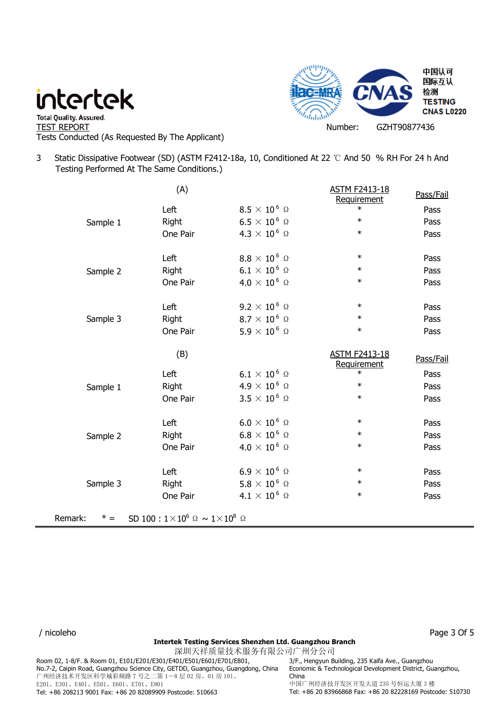

- " Total Quality. Assured.<br>TEST REPORT Number: GZHT90877436 Tests Conducted (As Requested By The Applicant)
- 3 Static Dissipative Footwear (SD) (ASTM F2412-18a, 10, Conditioned At 22 ℃ And 50 % RH For 24 h And Testing Performed At The Same Conditions.)

|                          | (A)                                            |                              | <b>ASTM F2413-18</b><br>Requirement | Pass/Fail |
|--------------------------|------------------------------------------------|------------------------------|-------------------------------------|-----------|
|                          | Left                                           | $8.5\times10^6$ Ω            | $\ast$                              | Pass      |
| Sample 1                 | Right                                          | $6.5 \times 10^6$ Ω          | $\ast$                              | Pass      |
|                          | One Pair                                       | $4.3 \times 10^6$ Ω          | $\ast$                              | Pass      |
|                          | Left                                           | $8.8\times10^6$ Ω            | $\ast$                              | Pass      |
| Sample 2                 | Right                                          | $6.1 \times 10^6$ Ω          | $\ast$                              | Pass      |
|                          | One Pair                                       | $4.0 \times 10^6$ Ω          | $\ast$                              | Pass      |
|                          | Left                                           | $9.2\times10^{\,6}$ $\Omega$ | $\ast$                              | Pass      |
| Sample 3                 | Right                                          | $8.7\times10^6$ Ω            | $\ast$                              | Pass      |
|                          | One Pair                                       | $5.9 \times 10^6$ Ω          | $\ast$                              | Pass      |
|                          | (B)                                            |                              | <b>ASTM F2413-18</b><br>Requirement | Pass/Fail |
|                          | Left                                           | $6.1 \times 10^6$ Ω          | $\ast$                              | Pass      |
| Sample 1                 | Right                                          | $4.9 \times 10^6$ Ω          | $\ast$                              | Pass      |
|                          | One Pair                                       | $3.5 \times 10^6$ Ω          | $\ast$                              | Pass      |
|                          | Left                                           | $6.0 \times 10^6$ Ω          | $\ast$                              | Pass      |
| Sample 2                 | Right                                          | $6.8 \times 10^6$ Ω          | $\ast$                              | Pass      |
|                          | One Pair                                       | $4.0 \times 10^6$ Ω          | $\ast$                              | Pass      |
|                          | Left                                           | $6.9 \times 10^6$ Ω          | $\ast$                              | Pass      |
| Sample 3                 | Right                                          | $5.8\times10^6$ Ω            | $\ast$                              | Pass      |
|                          | One Pair                                       | $4.1 \times 10^6$ Ω          | $\ast$                              | Pass      |
| Remark:<br>$^{\ast}$ $=$ | SD 100 : $1 \times 10^6$ Ω ~ $1 \times 10^8$ Ω |                              |                                     |           |

#### / nicoleho Page 3 Of 5

#### **Intertek Testing Services Shenzhen Ltd. Guangzhou Branch**

深圳天祥质量技术服务有限公司广州分公司 Room 02, 1-8/F. & Room 01, E101/E201/E301/E401/E501/E601/E701/E801, No.7-2, Caipin Road, Guangzhou Science City, GETDD, Guangzhou, Guangdong, China 广州经济技术开发区科学城彩频路 7 号之二第 1-8 层 02 房、01 房 101、 E201、E301、E401、E501、E601、E701、E801 Tel: +86 208213 9001 Fax: +86 20 82089909 Postcode: 510663

3/F., Hengyun Building, 235 Kaifa Ave., Guangzhou Economic & Technological Development District, Guangzhou, China 中国广州经济技开发区开发大道 235 号恒运大厦 3 楼 Tel: +86 20 83966868 Fax: +86 20 82228169 Postcode: 510730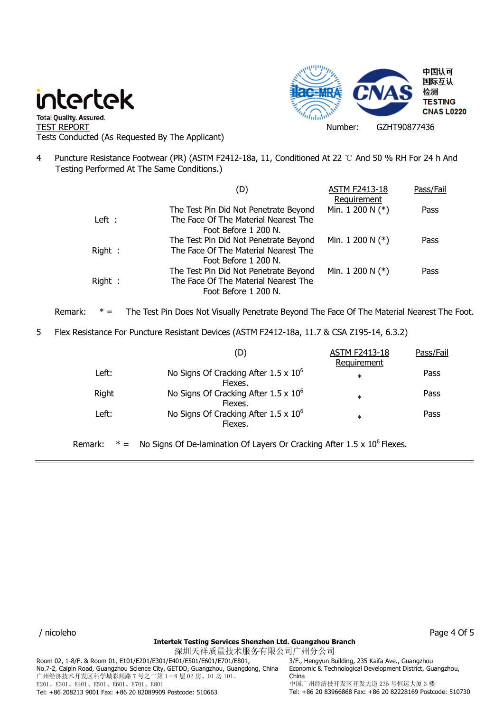

- " Total Quality. Assured.<br>TEST REPORT Number: GZHT90877436 Tests Conducted (As Requested By The Applicant)
- 4 Puncture Resistance Footwear (PR) (ASTM F2412-18a, 11, Conditioned At 22 ℃ And 50 % RH For 24 h And Testing Performed At The Same Conditions.)

|        | (D)                                   | <b>ASTM F2413-18</b> | Pass/Fail |
|--------|---------------------------------------|----------------------|-----------|
|        |                                       | Requirement          |           |
|        | The Test Pin Did Not Penetrate Beyond | Min. 1 200 N $(*)$   | Pass      |
| Left : | The Face Of The Material Nearest The  |                      |           |
|        | Foot Before 1 200 N.                  |                      |           |
|        | The Test Pin Did Not Penetrate Beyond | Min. 1 200 N $(*)$   | Pass      |
| Right: | The Face Of The Material Nearest The  |                      |           |
|        | Foot Before 1 200 N.                  |                      |           |
|        | The Test Pin Did Not Penetrate Beyond | Min. 1 200 N $(*)$   | Pass      |
| Right: | The Face Of The Material Nearest The  |                      |           |
|        | Foot Before 1 200 N.                  |                      |           |

Remark: \* = The Test Pin Does Not Visually Penetrate Beyond The Face Of The Material Nearest The Foot.

5 Flex Resistance For Puncture Resistant Devices (ASTM F2412-18a, 11.7 & CSA Z195-14, 6.3.2)

|         | (D)                                                                                 | <b>ASTM F2413-18</b>  | Pass/Fail |
|---------|-------------------------------------------------------------------------------------|-----------------------|-----------|
| Left:   | No Signs Of Cracking After $1.5 \times 10^6$<br>Flexes.                             | Requirement<br>$\ast$ | Pass      |
| Right   | No Signs Of Cracking After $1.5 \times 10^6$<br>Flexes.                             | $\ast$                | Pass      |
| Left:   | No Signs Of Cracking After $1.5 \times 10^6$<br>Flexes.                             | $\ast$                | Pass      |
| Remark: | No Signs Of De-lamination Of Layers Or Cracking After 1.5 x 10 <sup>6</sup> Flexes. |                       |           |

/ nicoleho Page 4 Of 5

### **Intertek Testing Services Shenzhen Ltd. Guangzhou Branch**

深圳天祥质量技术服务有限公司广州分公司 Room 02, 1-8/F. & Room 01, E101/E201/E301/E401/E501/E601/E701/E801, No.7-2, Caipin Road, Guangzhou Science City, GETDD, Guangzhou, Guangdong, China 广州经济技术开发区科学城彩频路 7 号之二第 1-8 层 02 房、01 房 101、 E201、E301、E401、E501、E601、E701、E801 Tel: +86 208213 9001 Fax: +86 20 82089909 Postcode: 510663

3/F., Hengyun Building, 235 Kaifa Ave., Guangzhou Economic & Technological Development District, Guangzhou, China 中国广州经济技开发区开发大道 235 号恒运大厦 3 楼 Tel: +86 20 83966868 Fax: +86 20 82228169 Postcode: 510730